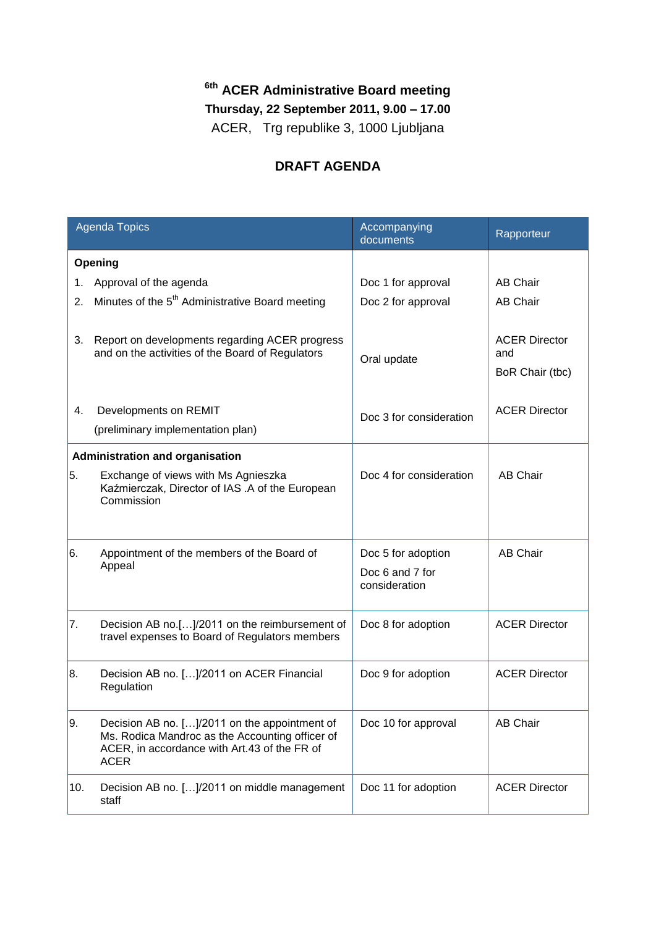## **6th ACER Administrative Board meeting**

**Thursday, 22 September 2011, 9.00 – 17.00**

ACER, Trg republike 3, 1000 Ljubljana

## **DRAFT AGENDA**

| <b>Agenda Topics</b>            |                                                                                                                                                                 | Accompanying<br>documents                              | Rapporteur                                     |  |
|---------------------------------|-----------------------------------------------------------------------------------------------------------------------------------------------------------------|--------------------------------------------------------|------------------------------------------------|--|
| Opening                         |                                                                                                                                                                 |                                                        |                                                |  |
| 1.                              | Approval of the agenda                                                                                                                                          | Doc 1 for approval                                     | <b>AB Chair</b>                                |  |
| 2.                              | Minutes of the 5 <sup>th</sup> Administrative Board meeting                                                                                                     | Doc 2 for approval                                     | <b>AB Chair</b>                                |  |
| 3.                              | Report on developments regarding ACER progress<br>and on the activities of the Board of Regulators                                                              | Oral update                                            | <b>ACER Director</b><br>and<br>BoR Chair (tbc) |  |
| 4.                              | Developments on REMIT                                                                                                                                           | Doc 3 for consideration                                | <b>ACER Director</b>                           |  |
|                                 | (preliminary implementation plan)                                                                                                                               |                                                        |                                                |  |
| Administration and organisation |                                                                                                                                                                 |                                                        |                                                |  |
| 5.                              | Exchange of views with Ms Agnieszka<br>Kaźmierczak, Director of IAS .A of the European<br>Commission                                                            | Doc 4 for consideration                                | <b>AB Chair</b>                                |  |
| 6.                              | Appointment of the members of the Board of<br>Appeal                                                                                                            | Doc 5 for adoption<br>Doc 6 and 7 for<br>consideration | <b>AB Chair</b>                                |  |
| 17.                             | Decision AB no.[]/2011 on the reimbursement of<br>travel expenses to Board of Regulators members                                                                | Doc 8 for adoption                                     | <b>ACER Director</b>                           |  |
| 8.                              | Decision AB no. []/2011 on ACER Financial<br>Regulation                                                                                                         | Doc 9 for adoption                                     | <b>ACER Director</b>                           |  |
| 9.                              | Decision AB no. []/2011 on the appointment of<br>Ms. Rodica Mandroc as the Accounting officer of<br>ACER, in accordance with Art.43 of the FR of<br><b>ACER</b> | Doc 10 for approval                                    | <b>AB Chair</b>                                |  |
| 10.                             | Decision AB no. []/2011 on middle management<br>staff                                                                                                           | Doc 11 for adoption                                    | <b>ACER Director</b>                           |  |